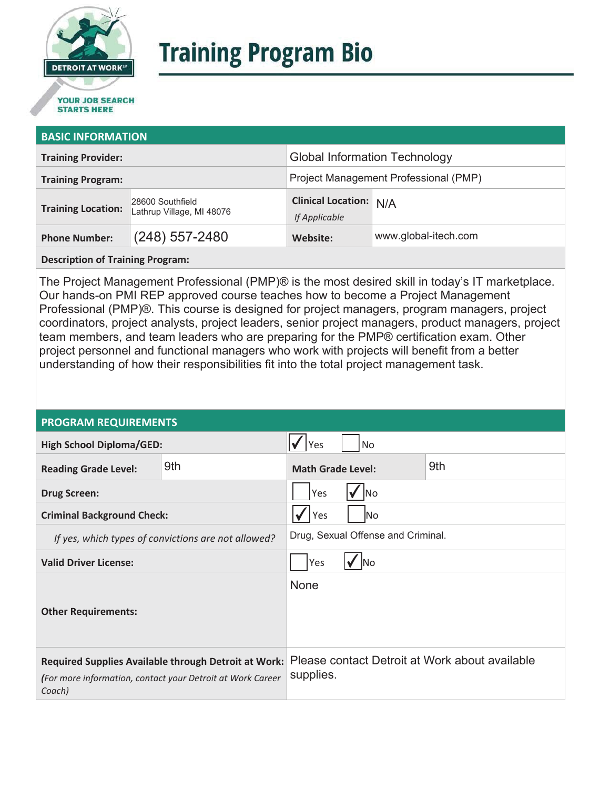

# **Training Program Bio**

## **STARTS HERE**

#### **BASIC INFORMATION**

| <b>Training Provider:</b> |                                               | <b>Global Information Technology</b>           |                      |  |
|---------------------------|-----------------------------------------------|------------------------------------------------|----------------------|--|
| <b>Training Program:</b>  |                                               | Project Management Professional (PMP)          |                      |  |
| <b>Training Location:</b> | 28600 Southfield<br>Lathrup Village, MI 48076 | <b>Clinical Location:</b> N/A<br>If Applicable |                      |  |
| <b>Phone Number:</b>      | $(248)$ 557-2480                              | Website:                                       | www.global-itech.com |  |

**Description of Training Program:** 

The Project Management Professional (PMP)® is the most desired skill in today's IT marketplace. Our hands-on PMI REP approved course teaches how to become a Project Management Professional (PMP)®. This course is designed for project managers, program managers, project coordinators, project analysts, project leaders, senior project managers, product managers, project team members, and team leaders who are preparing for the PMP® certification exam. Other project personnel and functional managers who work with projects will benefit from a better understanding of how their responsibilities fit into the total project management task.

#### **PROGRAM REQUIREMENTS**

| <b>High School Diploma/GED:</b>                                                                                              |     | <b>No</b><br>Yes                   |  |                                                |
|------------------------------------------------------------------------------------------------------------------------------|-----|------------------------------------|--|------------------------------------------------|
| <b>Reading Grade Level:</b>                                                                                                  | 9th | 9th<br><b>Math Grade Level:</b>    |  |                                                |
| <b>Drug Screen:</b>                                                                                                          |     | Yes<br>lNo                         |  |                                                |
| <b>Criminal Background Check:</b>                                                                                            |     | Yes<br>lNo.                        |  |                                                |
| If yes, which types of convictions are not allowed?                                                                          |     | Drug, Sexual Offense and Criminal. |  |                                                |
| <b>Valid Driver License:</b>                                                                                                 |     | Yes<br><b>INo</b>                  |  |                                                |
| <b>Other Requirements:</b>                                                                                                   |     | None                               |  |                                                |
| Required Supplies Available through Detroit at Work:<br>(For more information, contact your Detroit at Work Career<br>Coach) |     | supplies.                          |  | Please contact Detroit at Work about available |